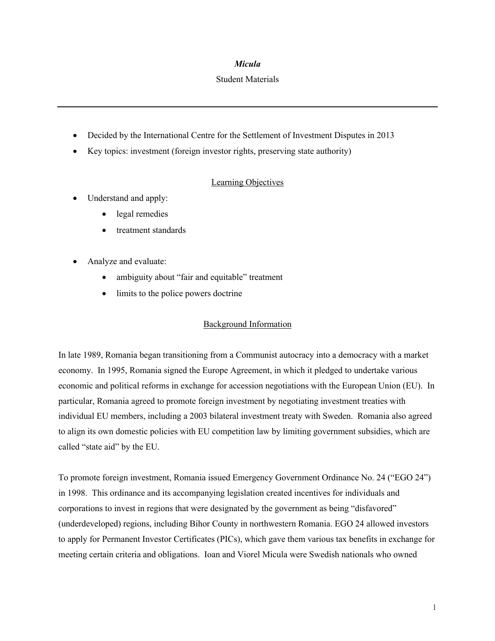### *Micula*

### Student Materials

- Decided by the International Centre for the Settlement of Investment Disputes in 2013
- Key topics: investment (foreign investor rights, preserving state authority)

# Learning Objectives

- Understand and apply:
	- legal remedies
	- treatment standards
- Analyze and evaluate:
	- ambiguity about "fair and equitable" treatment
	- limits to the police powers doctrine

# Background Information

In late 1989, Romania began transitioning from a Communist autocracy into a democracy with a market economy. In 1995, Romania signed the Europe Agreement, in which it pledged to undertake various economic and political reforms in exchange for accession negotiations with the European Union (EU). In particular, Romania agreed to promote foreign investment by negotiating investment treaties with individual EU members, including a 2003 bilateral investment treaty with Sweden. Romania also agreed to align its own domestic policies with EU competition law by limiting government subsidies, which are called "state aid" by the EU.

To promote foreign investment, Romania issued Emergency Government Ordinance No. 24 ("EGO 24") in 1998. This ordinance and its accompanying legislation created incentives for individuals and corporations to invest in regions that were designated by the government as being "disfavored" (underdeveloped) regions, including Bihor County in northwestern Romania. EGO 24 allowed investors to apply for Permanent Investor Certificates (PICs), which gave them various tax benefits in exchange for meeting certain criteria and obligations. Ioan and Viorel Micula were Swedish nationals who owned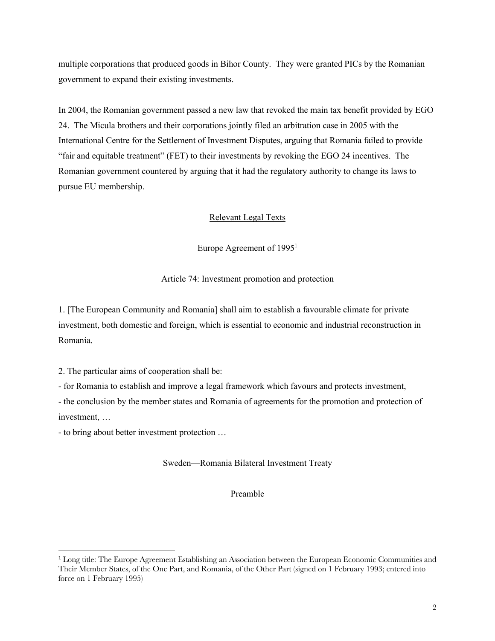multiple corporations that produced goods in Bihor County. They were granted PICs by the Romanian government to expand their existing investments.

In 2004, the Romanian government passed a new law that revoked the main tax benefit provided by EGO 24. The Micula brothers and their corporations jointly filed an arbitration case in 2005 with the International Centre for the Settlement of Investment Disputes, arguing that Romania failed to provide "fair and equitable treatment" (FET) to their investments by revoking the EGO 24 incentives. The Romanian government countered by arguing that it had the regulatory authority to change its laws to pursue EU membership.

# Relevant Legal Texts

Europe Agreement of  $1995<sup>1</sup>$ 

Article 74: Investment promotion and protection

1. [The European Community and Romania] shall aim to establish a favourable climate for private investment, both domestic and foreign, which is essential to economic and industrial reconstruction in Romania.

2. The particular aims of cooperation shall be:

- for Romania to establish and improve a legal framework which favours and protects investment,

- the conclusion by the member states and Romania of agreements for the promotion and protection of investment, …

- to bring about better investment protection …

Sweden—Romania Bilateral Investment Treaty

Preamble

<sup>1</sup> Long title: The Europe Agreement Establishing an Association between the European Economic Communities and Their Member States, of the One Part, and Romania, of the Other Part (signed on 1 February 1993; entered into force on 1 February 1995)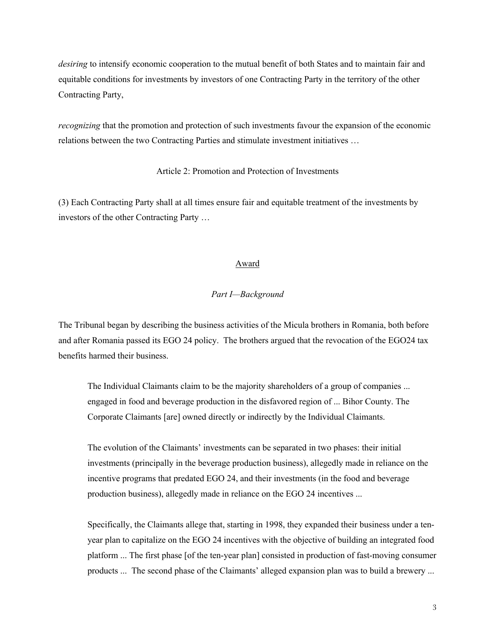*desiring* to intensify economic cooperation to the mutual benefit of both States and to maintain fair and equitable conditions for investments by investors of one Contracting Party in the territory of the other Contracting Party,

*recognizing* that the promotion and protection of such investments favour the expansion of the economic relations between the two Contracting Parties and stimulate investment initiatives …

### Article 2: Promotion and Protection of Investments

(3) Each Contracting Party shall at all times ensure fair and equitable treatment of the investments by investors of the other Contracting Party …

#### Award

### *Part I—Background*

The Tribunal began by describing the business activities of the Micula brothers in Romania, both before and after Romania passed its EGO 24 policy. The brothers argued that the revocation of the EGO24 tax benefits harmed their business.

The Individual Claimants claim to be the majority shareholders of a group of companies ... engaged in food and beverage production in the disfavored region of ... Bihor County. The Corporate Claimants [are] owned directly or indirectly by the Individual Claimants.

The evolution of the Claimants' investments can be separated in two phases: their initial investments (principally in the beverage production business), allegedly made in reliance on the incentive programs that predated EGO 24, and their investments (in the food and beverage production business), allegedly made in reliance on the EGO 24 incentives ...

Specifically, the Claimants allege that, starting in 1998, they expanded their business under a tenyear plan to capitalize on the EGO 24 incentives with the objective of building an integrated food platform ... The first phase [of the ten-year plan] consisted in production of fast-moving consumer products ... The second phase of the Claimants' alleged expansion plan was to build a brewery ...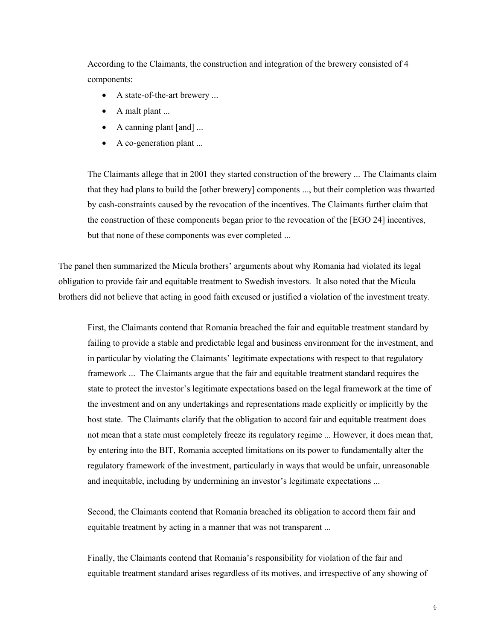According to the Claimants, the construction and integration of the brewery consisted of 4 components:

- A state-of-the-art brewery ...
- A malt plant ...
- A canning plant [and] ...
- A co-generation plant ...

The Claimants allege that in 2001 they started construction of the brewery ... The Claimants claim that they had plans to build the [other brewery] components ..., but their completion was thwarted by cash-constraints caused by the revocation of the incentives. The Claimants further claim that the construction of these components began prior to the revocation of the [EGO 24] incentives, but that none of these components was ever completed ...

The panel then summarized the Micula brothers' arguments about why Romania had violated its legal obligation to provide fair and equitable treatment to Swedish investors. It also noted that the Micula brothers did not believe that acting in good faith excused or justified a violation of the investment treaty.

First, the Claimants contend that Romania breached the fair and equitable treatment standard by failing to provide a stable and predictable legal and business environment for the investment, and in particular by violating the Claimants' legitimate expectations with respect to that regulatory framework ... The Claimants argue that the fair and equitable treatment standard requires the state to protect the investor's legitimate expectations based on the legal framework at the time of the investment and on any undertakings and representations made explicitly or implicitly by the host state. The Claimants clarify that the obligation to accord fair and equitable treatment does not mean that a state must completely freeze its regulatory regime ... However, it does mean that, by entering into the BIT, Romania accepted limitations on its power to fundamentally alter the regulatory framework of the investment, particularly in ways that would be unfair, unreasonable and inequitable, including by undermining an investor's legitimate expectations ...

Second, the Claimants contend that Romania breached its obligation to accord them fair and equitable treatment by acting in a manner that was not transparent ...

Finally, the Claimants contend that Romania's responsibility for violation of the fair and equitable treatment standard arises regardless of its motives, and irrespective of any showing of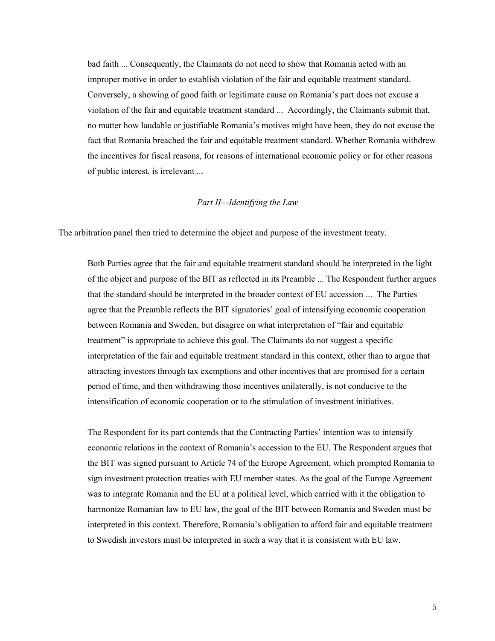bad faith ... Consequently, the Claimants do not need to show that Romania acted with an improper motive in order to establish violation of the fair and equitable treatment standard. Conversely, a showing of good faith or legitimate cause on Romania's part does not excuse a violation of the fair and equitable treatment standard ... Accordingly, the Claimants submit that, no matter how laudable or justifiable Romania's motives might have been, they do not excuse the fact that Romania breached the fair and equitable treatment standard. Whether Romania withdrew the incentives for fiscal reasons, for reasons of international economic policy or for other reasons of public interest, is irrelevant ...

### *Part II—Identifying the Law*

The arbitration panel then tried to determine the object and purpose of the investment treaty.

Both Parties agree that the fair and equitable treatment standard should be interpreted in the light of the object and purpose of the BIT as reflected in its Preamble ... The Respondent further argues that the standard should be interpreted in the broader context of EU accession ... The Parties agree that the Preamble reflects the BIT signatories' goal of intensifying economic cooperation between Romania and Sweden, but disagree on what interpretation of "fair and equitable treatment" is appropriate to achieve this goal. The Claimants do not suggest a specific interpretation of the fair and equitable treatment standard in this context, other than to argue that attracting investors through tax exemptions and other incentives that are promised for a certain period of time, and then withdrawing those incentives unilaterally, is not conducive to the intensification of economic cooperation or to the stimulation of investment initiatives.

The Respondent for its part contends that the Contracting Parties' intention was to intensify economic relations in the context of Romania's accession to the EU. The Respondent argues that the BIT was signed pursuant to Article 74 of the Europe Agreement, which prompted Romania to sign investment protection treaties with EU member states. As the goal of the Europe Agreement was to integrate Romania and the EU at a political level, which carried with it the obligation to harmonize Romanian law to EU law, the goal of the BIT between Romania and Sweden must be interpreted in this context. Therefore, Romania's obligation to afford fair and equitable treatment to Swedish investors must be interpreted in such a way that it is consistent with EU law.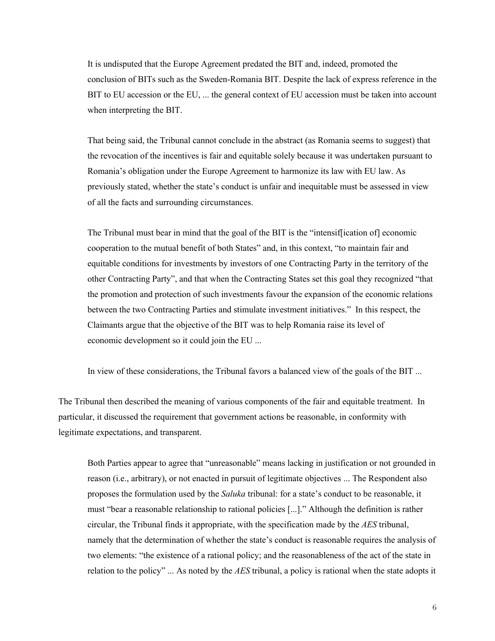It is undisputed that the Europe Agreement predated the BIT and, indeed, promoted the conclusion of BITs such as the Sweden-Romania BIT. Despite the lack of express reference in the BIT to EU accession or the EU, ... the general context of EU accession must be taken into account when interpreting the BIT.

That being said, the Tribunal cannot conclude in the abstract (as Romania seems to suggest) that the revocation of the incentives is fair and equitable solely because it was undertaken pursuant to Romania's obligation under the Europe Agreement to harmonize its law with EU law. As previously stated, whether the state's conduct is unfair and inequitable must be assessed in view of all the facts and surrounding circumstances.

The Tribunal must bear in mind that the goal of the BIT is the "intensif[ication of] economic cooperation to the mutual benefit of both States" and, in this context, "to maintain fair and equitable conditions for investments by investors of one Contracting Party in the territory of the other Contracting Party", and that when the Contracting States set this goal they recognized "that the promotion and protection of such investments favour the expansion of the economic relations between the two Contracting Parties and stimulate investment initiatives." In this respect, the Claimants argue that the objective of the BIT was to help Romania raise its level of economic development so it could join the EU ...

In view of these considerations, the Tribunal favors a balanced view of the goals of the BIT ...

The Tribunal then described the meaning of various components of the fair and equitable treatment. In particular, it discussed the requirement that government actions be reasonable, in conformity with legitimate expectations, and transparent.

Both Parties appear to agree that "unreasonable" means lacking in justification or not grounded in reason (i.e., arbitrary), or not enacted in pursuit of legitimate objectives ... The Respondent also proposes the formulation used by the *Saluka* tribunal: for a state's conduct to be reasonable, it must "bear a reasonable relationship to rational policies [...]." Although the definition is rather circular, the Tribunal finds it appropriate, with the specification made by the *AES* tribunal, namely that the determination of whether the state's conduct is reasonable requires the analysis of two elements: "the existence of a rational policy; and the reasonableness of the act of the state in relation to the policy" ... As noted by the *AES* tribunal, a policy is rational when the state adopts it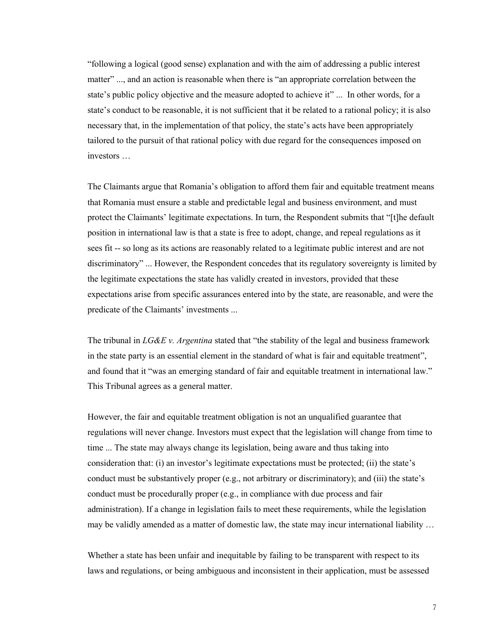"following a logical (good sense) explanation and with the aim of addressing a public interest matter" ..., and an action is reasonable when there is "an appropriate correlation between the state's public policy objective and the measure adopted to achieve it" ... In other words, for a state's conduct to be reasonable, it is not sufficient that it be related to a rational policy; it is also necessary that, in the implementation of that policy, the state's acts have been appropriately tailored to the pursuit of that rational policy with due regard for the consequences imposed on investors …

The Claimants argue that Romania's obligation to afford them fair and equitable treatment means that Romania must ensure a stable and predictable legal and business environment, and must protect the Claimants' legitimate expectations. In turn, the Respondent submits that "[t]he default position in international law is that a state is free to adopt, change, and repeal regulations as it sees fit -- so long as its actions are reasonably related to a legitimate public interest and are not discriminatory" ... However, the Respondent concedes that its regulatory sovereignty is limited by the legitimate expectations the state has validly created in investors, provided that these expectations arise from specific assurances entered into by the state, are reasonable, and were the predicate of the Claimants' investments ...

The tribunal in *LG&E v. Argentina* stated that "the stability of the legal and business framework in the state party is an essential element in the standard of what is fair and equitable treatment", and found that it "was an emerging standard of fair and equitable treatment in international law." This Tribunal agrees as a general matter.

However, the fair and equitable treatment obligation is not an unqualified guarantee that regulations will never change. Investors must expect that the legislation will change from time to time ... The state may always change its legislation, being aware and thus taking into consideration that: (i) an investor's legitimate expectations must be protected; (ii) the state's conduct must be substantively proper (e.g., not arbitrary or discriminatory); and (iii) the state's conduct must be procedurally proper (e.g., in compliance with due process and fair administration). If a change in legislation fails to meet these requirements, while the legislation may be validly amended as a matter of domestic law, the state may incur international liability …

Whether a state has been unfair and inequitable by failing to be transparent with respect to its laws and regulations, or being ambiguous and inconsistent in their application, must be assessed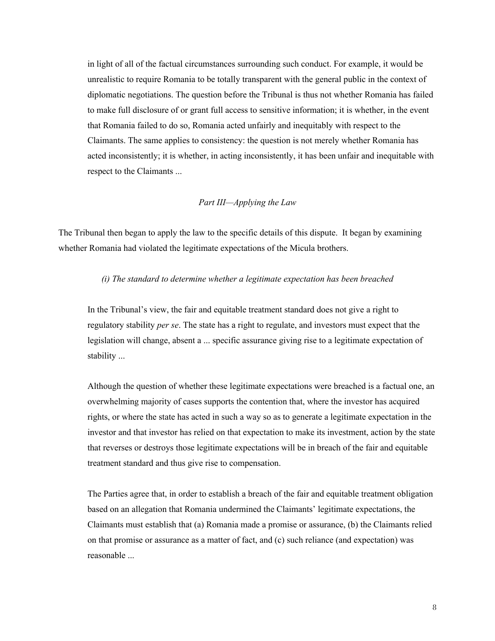in light of all of the factual circumstances surrounding such conduct. For example, it would be unrealistic to require Romania to be totally transparent with the general public in the context of diplomatic negotiations. The question before the Tribunal is thus not whether Romania has failed to make full disclosure of or grant full access to sensitive information; it is whether, in the event that Romania failed to do so, Romania acted unfairly and inequitably with respect to the Claimants. The same applies to consistency: the question is not merely whether Romania has acted inconsistently; it is whether, in acting inconsistently, it has been unfair and inequitable with respect to the Claimants ...

# *Part III—Applying the Law*

The Tribunal then began to apply the law to the specific details of this dispute. It began by examining whether Romania had violated the legitimate expectations of the Micula brothers.

### *(i) The standard to determine whether a legitimate expectation has been breached*

In the Tribunal's view, the fair and equitable treatment standard does not give a right to regulatory stability *per se*. The state has a right to regulate, and investors must expect that the legislation will change, absent a ... specific assurance giving rise to a legitimate expectation of stability ...

Although the question of whether these legitimate expectations were breached is a factual one, an overwhelming majority of cases supports the contention that, where the investor has acquired rights, or where the state has acted in such a way so as to generate a legitimate expectation in the investor and that investor has relied on that expectation to make its investment, action by the state that reverses or destroys those legitimate expectations will be in breach of the fair and equitable treatment standard and thus give rise to compensation.

The Parties agree that, in order to establish a breach of the fair and equitable treatment obligation based on an allegation that Romania undermined the Claimants' legitimate expectations, the Claimants must establish that (a) Romania made a promise or assurance, (b) the Claimants relied on that promise or assurance as a matter of fact, and (c) such reliance (and expectation) was reasonable ...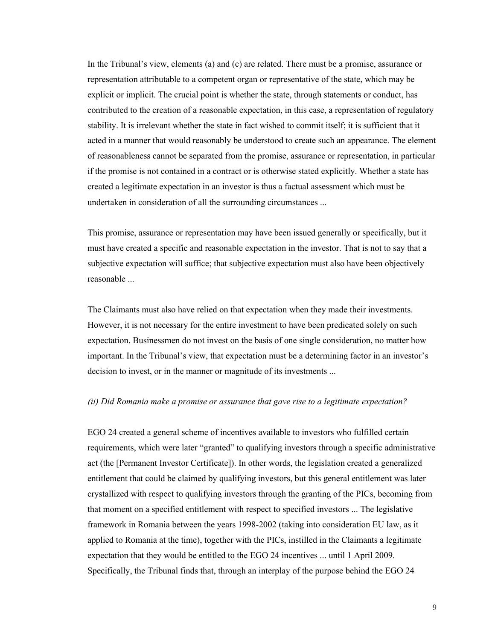In the Tribunal's view, elements (a) and (c) are related. There must be a promise, assurance or representation attributable to a competent organ or representative of the state, which may be explicit or implicit. The crucial point is whether the state, through statements or conduct, has contributed to the creation of a reasonable expectation, in this case, a representation of regulatory stability. It is irrelevant whether the state in fact wished to commit itself; it is sufficient that it acted in a manner that would reasonably be understood to create such an appearance. The element of reasonableness cannot be separated from the promise, assurance or representation, in particular if the promise is not contained in a contract or is otherwise stated explicitly. Whether a state has created a legitimate expectation in an investor is thus a factual assessment which must be undertaken in consideration of all the surrounding circumstances ...

This promise, assurance or representation may have been issued generally or specifically, but it must have created a specific and reasonable expectation in the investor. That is not to say that a subjective expectation will suffice; that subjective expectation must also have been objectively reasonable ...

The Claimants must also have relied on that expectation when they made their investments. However, it is not necessary for the entire investment to have been predicated solely on such expectation. Businessmen do not invest on the basis of one single consideration, no matter how important. In the Tribunal's view, that expectation must be a determining factor in an investor's decision to invest, or in the manner or magnitude of its investments ...

### *(ii) Did Romania make a promise or assurance that gave rise to a legitimate expectation?*

EGO 24 created a general scheme of incentives available to investors who fulfilled certain requirements, which were later "granted" to qualifying investors through a specific administrative act (the [Permanent Investor Certificate]). In other words, the legislation created a generalized entitlement that could be claimed by qualifying investors, but this general entitlement was later crystallized with respect to qualifying investors through the granting of the PICs, becoming from that moment on a specified entitlement with respect to specified investors ... The legislative framework in Romania between the years 1998-2002 (taking into consideration EU law, as it applied to Romania at the time), together with the PICs, instilled in the Claimants a legitimate expectation that they would be entitled to the EGO 24 incentives ... until 1 April 2009. Specifically, the Tribunal finds that, through an interplay of the purpose behind the EGO 24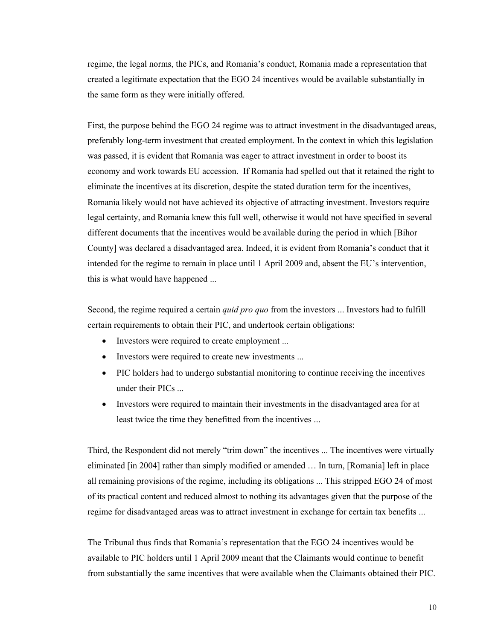regime, the legal norms, the PICs, and Romania's conduct, Romania made a representation that created a legitimate expectation that the EGO 24 incentives would be available substantially in the same form as they were initially offered.

First, the purpose behind the EGO 24 regime was to attract investment in the disadvantaged areas, preferably long-term investment that created employment. In the context in which this legislation was passed, it is evident that Romania was eager to attract investment in order to boost its economy and work towards EU accession. If Romania had spelled out that it retained the right to eliminate the incentives at its discretion, despite the stated duration term for the incentives, Romania likely would not have achieved its objective of attracting investment. Investors require legal certainty, and Romania knew this full well, otherwise it would not have specified in several different documents that the incentives would be available during the period in which [Bihor County] was declared a disadvantaged area. Indeed, it is evident from Romania's conduct that it intended for the regime to remain in place until 1 April 2009 and, absent the EU's intervention, this is what would have happened ...

Second, the regime required a certain *quid pro quo* from the investors ... Investors had to fulfill certain requirements to obtain their PIC, and undertook certain obligations:

- Investors were required to create employment ...
- Investors were required to create new investments ...
- PIC holders had to undergo substantial monitoring to continue receiving the incentives under their PICs ...
- Investors were required to maintain their investments in the disadvantaged area for at least twice the time they benefitted from the incentives ...

Third, the Respondent did not merely "trim down" the incentives ... The incentives were virtually eliminated [in 2004] rather than simply modified or amended … In turn, [Romania] left in place all remaining provisions of the regime, including its obligations ... This stripped EGO 24 of most of its practical content and reduced almost to nothing its advantages given that the purpose of the regime for disadvantaged areas was to attract investment in exchange for certain tax benefits ...

The Tribunal thus finds that Romania's representation that the EGO 24 incentives would be available to PIC holders until 1 April 2009 meant that the Claimants would continue to benefit from substantially the same incentives that were available when the Claimants obtained their PIC.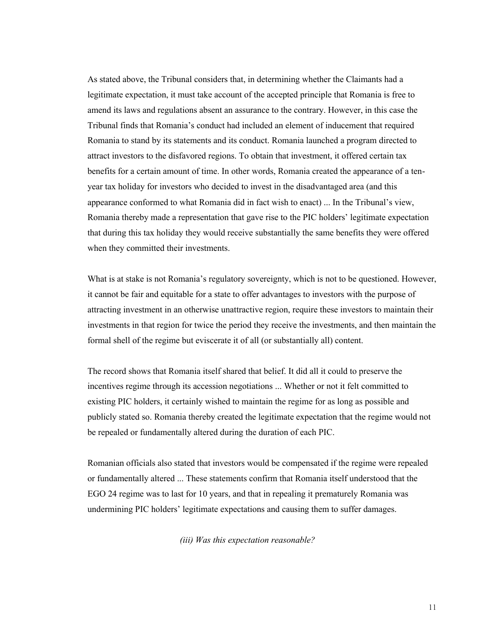As stated above, the Tribunal considers that, in determining whether the Claimants had a legitimate expectation, it must take account of the accepted principle that Romania is free to amend its laws and regulations absent an assurance to the contrary. However, in this case the Tribunal finds that Romania's conduct had included an element of inducement that required Romania to stand by its statements and its conduct. Romania launched a program directed to attract investors to the disfavored regions. To obtain that investment, it offered certain tax benefits for a certain amount of time. In other words, Romania created the appearance of a tenyear tax holiday for investors who decided to invest in the disadvantaged area (and this appearance conformed to what Romania did in fact wish to enact) ... In the Tribunal's view, Romania thereby made a representation that gave rise to the PIC holders' legitimate expectation that during this tax holiday they would receive substantially the same benefits they were offered when they committed their investments.

What is at stake is not Romania's regulatory sovereignty, which is not to be questioned. However, it cannot be fair and equitable for a state to offer advantages to investors with the purpose of attracting investment in an otherwise unattractive region, require these investors to maintain their investments in that region for twice the period they receive the investments, and then maintain the formal shell of the regime but eviscerate it of all (or substantially all) content.

The record shows that Romania itself shared that belief. It did all it could to preserve the incentives regime through its accession negotiations ... Whether or not it felt committed to existing PIC holders, it certainly wished to maintain the regime for as long as possible and publicly stated so. Romania thereby created the legitimate expectation that the regime would not be repealed or fundamentally altered during the duration of each PIC.

Romanian officials also stated that investors would be compensated if the regime were repealed or fundamentally altered ... These statements confirm that Romania itself understood that the EGO 24 regime was to last for 10 years, and that in repealing it prematurely Romania was undermining PIC holders' legitimate expectations and causing them to suffer damages.

*(iii) Was this expectation reasonable?*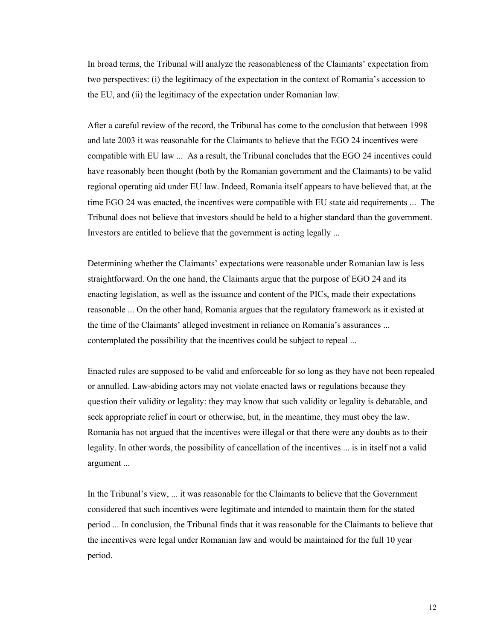In broad terms, the Tribunal will analyze the reasonableness of the Claimants' expectation from two perspectives: (i) the legitimacy of the expectation in the context of Romania's accession to the EU, and (ii) the legitimacy of the expectation under Romanian law.

After a careful review of the record, the Tribunal has come to the conclusion that between 1998 and late 2003 it was reasonable for the Claimants to believe that the EGO 24 incentives were compatible with EU law ... As a result, the Tribunal concludes that the EGO 24 incentives could have reasonably been thought (both by the Romanian government and the Claimants) to be valid regional operating aid under EU law. Indeed, Romania itself appears to have believed that, at the time EGO 24 was enacted, the incentives were compatible with EU state aid requirements ... The Tribunal does not believe that investors should be held to a higher standard than the government. Investors are entitled to believe that the government is acting legally ...

Determining whether the Claimants' expectations were reasonable under Romanian law is less straightforward. On the one hand, the Claimants argue that the purpose of EGO 24 and its enacting legislation, as well as the issuance and content of the PICs, made their expectations reasonable ... On the other hand, Romania argues that the regulatory framework as it existed at the time of the Claimants' alleged investment in reliance on Romania's assurances ... contemplated the possibility that the incentives could be subject to repeal ...

Enacted rules are supposed to be valid and enforceable for so long as they have not been repealed or annulled. Law-abiding actors may not violate enacted laws or regulations because they question their validity or legality: they may know that such validity or legality is debatable, and seek appropriate relief in court or otherwise, but, in the meantime, they must obey the law. Romania has not argued that the incentives were illegal or that there were any doubts as to their legality. In other words, the possibility of cancellation of the incentives ... is in itself not a valid argument ...

In the Tribunal's view, ... it was reasonable for the Claimants to believe that the Government considered that such incentives were legitimate and intended to maintain them for the stated period ... In conclusion, the Tribunal finds that it was reasonable for the Claimants to believe that the incentives were legal under Romanian law and would be maintained for the full 10 year period.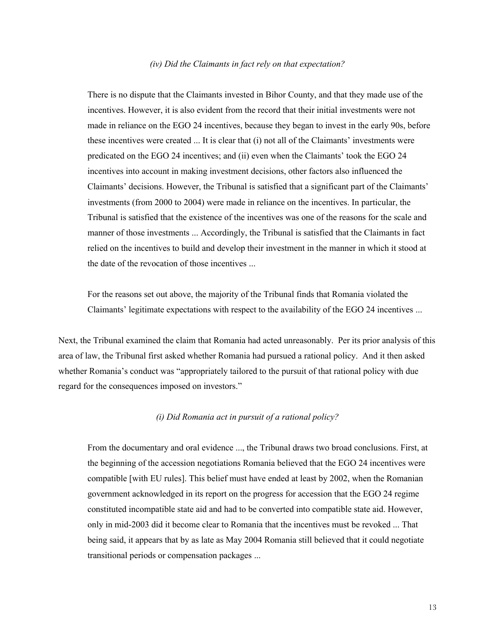#### *(iv) Did the Claimants in fact rely on that expectation?*

There is no dispute that the Claimants invested in Bihor County, and that they made use of the incentives. However, it is also evident from the record that their initial investments were not made in reliance on the EGO 24 incentives, because they began to invest in the early 90s, before these incentives were created ... It is clear that (i) not all of the Claimants' investments were predicated on the EGO 24 incentives; and (ii) even when the Claimants' took the EGO 24 incentives into account in making investment decisions, other factors also influenced the Claimants' decisions. However, the Tribunal is satisfied that a significant part of the Claimants' investments (from 2000 to 2004) were made in reliance on the incentives. In particular, the Tribunal is satisfied that the existence of the incentives was one of the reasons for the scale and manner of those investments ... Accordingly, the Tribunal is satisfied that the Claimants in fact relied on the incentives to build and develop their investment in the manner in which it stood at the date of the revocation of those incentives ...

For the reasons set out above, the majority of the Tribunal finds that Romania violated the Claimants' legitimate expectations with respect to the availability of the EGO 24 incentives ...

Next, the Tribunal examined the claim that Romania had acted unreasonably. Per its prior analysis of this area of law, the Tribunal first asked whether Romania had pursued a rational policy. And it then asked whether Romania's conduct was "appropriately tailored to the pursuit of that rational policy with due regard for the consequences imposed on investors."

### *(i) Did Romania act in pursuit of a rational policy?*

From the documentary and oral evidence ..., the Tribunal draws two broad conclusions. First, at the beginning of the accession negotiations Romania believed that the EGO 24 incentives were compatible [with EU rules]. This belief must have ended at least by 2002, when the Romanian government acknowledged in its report on the progress for accession that the EGO 24 regime constituted incompatible state aid and had to be converted into compatible state aid. However, only in mid-2003 did it become clear to Romania that the incentives must be revoked ... That being said, it appears that by as late as May 2004 Romania still believed that it could negotiate transitional periods or compensation packages ...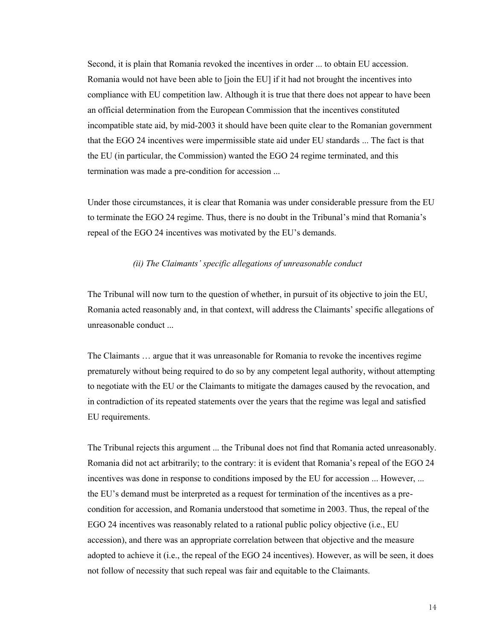Second, it is plain that Romania revoked the incentives in order ... to obtain EU accession. Romania would not have been able to [join the EU] if it had not brought the incentives into compliance with EU competition law. Although it is true that there does not appear to have been an official determination from the European Commission that the incentives constituted incompatible state aid, by mid-2003 it should have been quite clear to the Romanian government that the EGO 24 incentives were impermissible state aid under EU standards ... The fact is that the EU (in particular, the Commission) wanted the EGO 24 regime terminated, and this termination was made a pre-condition for accession ...

Under those circumstances, it is clear that Romania was under considerable pressure from the EU to terminate the EGO 24 regime. Thus, there is no doubt in the Tribunal's mind that Romania's repeal of the EGO 24 incentives was motivated by the EU's demands.

### *(ii) The Claimants' specific allegations of unreasonable conduct*

The Tribunal will now turn to the question of whether, in pursuit of its objective to join the EU, Romania acted reasonably and, in that context, will address the Claimants' specific allegations of unreasonable conduct ...

The Claimants … argue that it was unreasonable for Romania to revoke the incentives regime prematurely without being required to do so by any competent legal authority, without attempting to negotiate with the EU or the Claimants to mitigate the damages caused by the revocation, and in contradiction of its repeated statements over the years that the regime was legal and satisfied EU requirements.

The Tribunal rejects this argument ... the Tribunal does not find that Romania acted unreasonably. Romania did not act arbitrarily; to the contrary: it is evident that Romania's repeal of the EGO 24 incentives was done in response to conditions imposed by the EU for accession ... However, ... the EU's demand must be interpreted as a request for termination of the incentives as a precondition for accession, and Romania understood that sometime in 2003. Thus, the repeal of the EGO 24 incentives was reasonably related to a rational public policy objective (i.e., EU accession), and there was an appropriate correlation between that objective and the measure adopted to achieve it (i.e., the repeal of the EGO 24 incentives). However, as will be seen, it does not follow of necessity that such repeal was fair and equitable to the Claimants.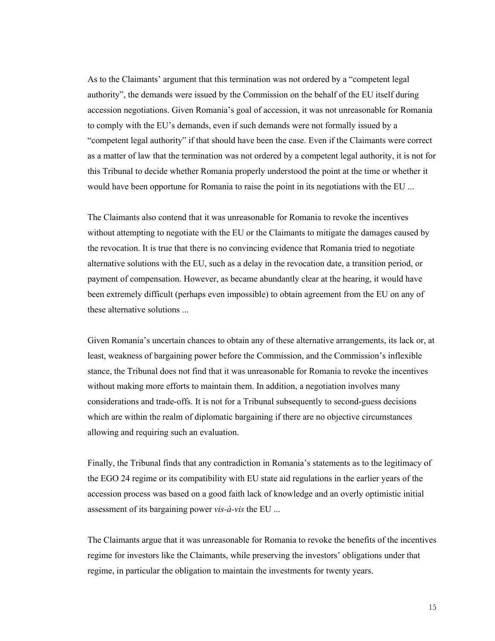As to the Claimants' argument that this termination was not ordered by a "competent legal authority", the demands were issued by the Commission on the behalf of the EU itself during accession negotiations. Given Romania's goal of accession, it was not unreasonable for Romania to comply with the EU's demands, even if such demands were not formally issued by a "competent legal authority" if that should have been the case. Even if the Claimants were correct as a matter of law that the termination was not ordered by a competent legal authority, it is not for this Tribunal to decide whether Romania properly understood the point at the time or whether it would have been opportune for Romania to raise the point in its negotiations with the EU ...

The Claimants also contend that it was unreasonable for Romania to revoke the incentives without attempting to negotiate with the EU or the Claimants to mitigate the damages caused by the revocation. It is true that there is no convincing evidence that Romania tried to negotiate alternative solutions with the EU, such as a delay in the revocation date, a transition period, or payment of compensation. However, as became abundantly clear at the hearing, it would have been extremely difficult (perhaps even impossible) to obtain agreement from the EU on any of these alternative solutions ...

Given Romania's uncertain chances to obtain any of these alternative arrangements, its lack or, at least, weakness of bargaining power before the Commission, and the Commission's inflexible stance, the Tribunal does not find that it was unreasonable for Romania to revoke the incentives without making more efforts to maintain them. In addition, a negotiation involves many considerations and trade-offs. It is not for a Tribunal subsequently to second-guess decisions which are within the realm of diplomatic bargaining if there are no objective circumstances allowing and requiring such an evaluation.

Finally, the Tribunal finds that any contradiction in Romania's statements as to the legitimacy of the EGO 24 regime or its compatibility with EU state aid regulations in the earlier years of the accession process was based on a good faith lack of knowledge and an overly optimistic initial assessment of its bargaining power *vis-à-vis* the EU ...

The Claimants argue that it was unreasonable for Romania to revoke the benefits of the incentives regime for investors like the Claimants, while preserving the investors' obligations under that regime, in particular the obligation to maintain the investments for twenty years.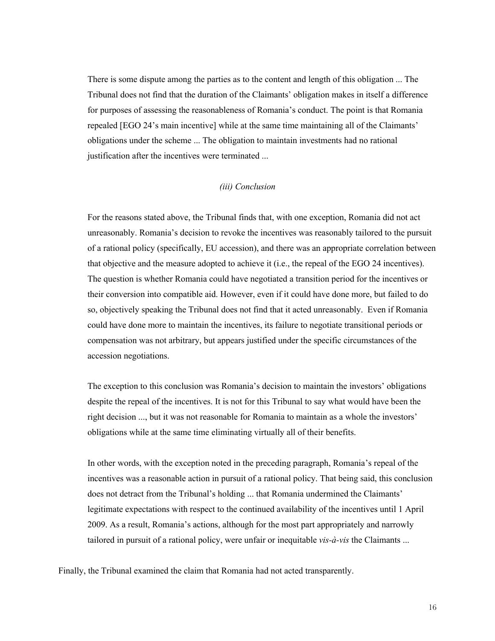There is some dispute among the parties as to the content and length of this obligation ... The Tribunal does not find that the duration of the Claimants' obligation makes in itself a difference for purposes of assessing the reasonableness of Romania's conduct. The point is that Romania repealed [EGO 24's main incentive] while at the same time maintaining all of the Claimants' obligations under the scheme ... The obligation to maintain investments had no rational justification after the incentives were terminated ...

# *(iii) Conclusion*

For the reasons stated above, the Tribunal finds that, with one exception, Romania did not act unreasonably. Romania's decision to revoke the incentives was reasonably tailored to the pursuit of a rational policy (specifically, EU accession), and there was an appropriate correlation between that objective and the measure adopted to achieve it (i.e., the repeal of the EGO 24 incentives). The question is whether Romania could have negotiated a transition period for the incentives or their conversion into compatible aid. However, even if it could have done more, but failed to do so, objectively speaking the Tribunal does not find that it acted unreasonably. Even if Romania could have done more to maintain the incentives, its failure to negotiate transitional periods or compensation was not arbitrary, but appears justified under the specific circumstances of the accession negotiations.

The exception to this conclusion was Romania's decision to maintain the investors' obligations despite the repeal of the incentives. It is not for this Tribunal to say what would have been the right decision ..., but it was not reasonable for Romania to maintain as a whole the investors' obligations while at the same time eliminating virtually all of their benefits.

In other words, with the exception noted in the preceding paragraph, Romania's repeal of the incentives was a reasonable action in pursuit of a rational policy. That being said, this conclusion does not detract from the Tribunal's holding ... that Romania undermined the Claimants' legitimate expectations with respect to the continued availability of the incentives until 1 April 2009. As a result, Romania's actions, although for the most part appropriately and narrowly tailored in pursuit of a rational policy, were unfair or inequitable *vis-à-vis* the Claimants ...

Finally, the Tribunal examined the claim that Romania had not acted transparently.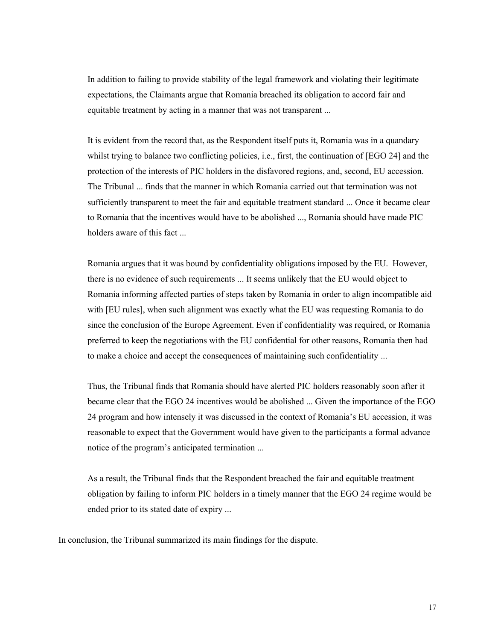In addition to failing to provide stability of the legal framework and violating their legitimate expectations, the Claimants argue that Romania breached its obligation to accord fair and equitable treatment by acting in a manner that was not transparent ...

It is evident from the record that, as the Respondent itself puts it, Romania was in a quandary whilst trying to balance two conflicting policies, i.e., first, the continuation of [EGO 24] and the protection of the interests of PIC holders in the disfavored regions, and, second, EU accession. The Tribunal ... finds that the manner in which Romania carried out that termination was not sufficiently transparent to meet the fair and equitable treatment standard ... Once it became clear to Romania that the incentives would have to be abolished ..., Romania should have made PIC holders aware of this fact ...

Romania argues that it was bound by confidentiality obligations imposed by the EU. However, there is no evidence of such requirements ... It seems unlikely that the EU would object to Romania informing affected parties of steps taken by Romania in order to align incompatible aid with [EU rules], when such alignment was exactly what the EU was requesting Romania to do since the conclusion of the Europe Agreement. Even if confidentiality was required, or Romania preferred to keep the negotiations with the EU confidential for other reasons, Romania then had to make a choice and accept the consequences of maintaining such confidentiality ...

Thus, the Tribunal finds that Romania should have alerted PIC holders reasonably soon after it became clear that the EGO 24 incentives would be abolished ... Given the importance of the EGO 24 program and how intensely it was discussed in the context of Romania's EU accession, it was reasonable to expect that the Government would have given to the participants a formal advance notice of the program's anticipated termination ...

As a result, the Tribunal finds that the Respondent breached the fair and equitable treatment obligation by failing to inform PIC holders in a timely manner that the EGO 24 regime would be ended prior to its stated date of expiry ...

In conclusion, the Tribunal summarized its main findings for the dispute.